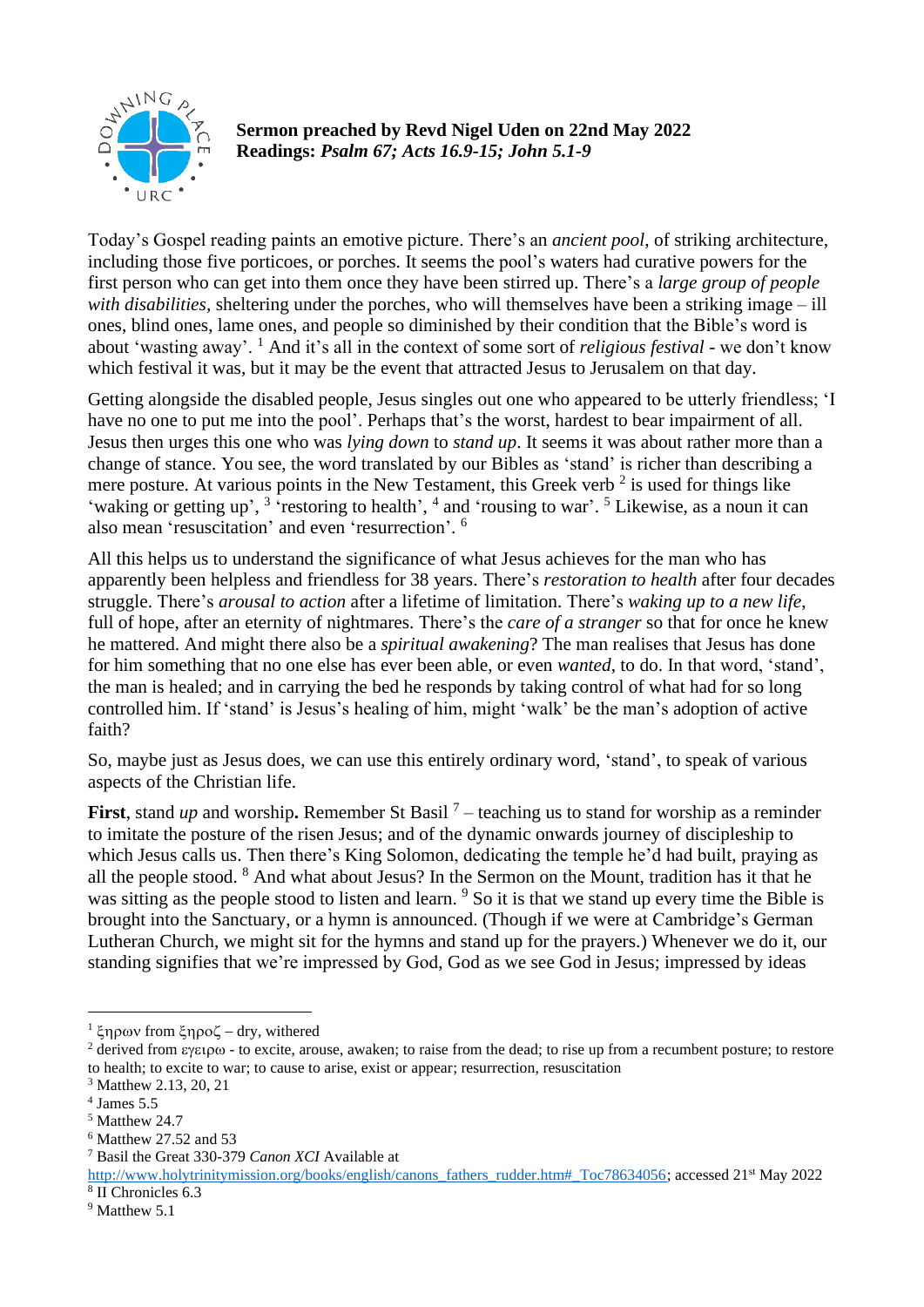

## **Sermon preached by Revd Nigel Uden on 22nd May 2022 Readings:** *Psalm 67; Acts 16.9-15; John 5.1-9*

Today's Gospel reading paints an emotive picture. There's an *ancient pool*, of striking architecture, including those five porticoes, or porches. It seems the pool's waters had curative powers for the first person who can get into them once they have been stirred up. There's a *large group of people with disabilities,* sheltering under the porches, who will themselves have been a striking image – ill ones, blind ones, lame ones, and people so diminished by their condition that the Bible's word is about 'wasting away'. <sup>1</sup> And it's all in the context of some sort of *religious festival* - we don't know which festival it was, but it may be the event that attracted Jesus to Jerusalem on that day.

Getting alongside the disabled people, Jesus singles out one who appeared to be utterly friendless; 'I have no one to put me into the pool'. Perhaps that's the worst, hardest to bear impairment of all. Jesus then urges this one who was *lying down* to *stand up*. It seems it was about rather more than a change of stance. You see, the word translated by our Bibles as 'stand' is richer than describing a mere posture. At various points in the New Testament, this Greek verb<sup>2</sup> is used for things like 'waking or getting up', <sup>3</sup> 'restoring to health', <sup>4</sup> and 'rousing to war'. <sup>5</sup> Likewise, as a noun it can also mean 'resuscitation' and even 'resurrection'. 6

All this helps us to understand the significance of what Jesus achieves for the man who has apparently been helpless and friendless for 38 years. There's *restoration to health* after four decades struggle. There's *arousal to action* after a lifetime of limitation. There's *waking up to a new life*, full of hope, after an eternity of nightmares. There's the *care of a stranger* so that for once he knew he mattered. And might there also be a *spiritual awakening*? The man realises that Jesus has done for him something that no one else has ever been able, or even *wanted*, to do. In that word, 'stand', the man is healed; and in carrying the bed he responds by taking control of what had for so long controlled him. If 'stand' is Jesus's healing of him, might 'walk' be the man's adoption of active faith?

So, maybe just as Jesus does, we can use this entirely ordinary word, 'stand', to speak of various aspects of the Christian life.

**First**, stand *up* and worship. Remember St Basil<sup>7</sup> – teaching us to stand for worship as a reminder to imitate the posture of the risen Jesus; and of the dynamic onwards journey of discipleship to which Jesus calls us. Then there's King Solomon, dedicating the temple he'd had built, praying as all the people stood. <sup>8</sup> And what about Jesus? In the Sermon on the Mount, tradition has it that he was sitting as the people stood to listen and learn. <sup>9</sup> So it is that we stand up every time the Bible is brought into the Sanctuary, or a hymn is announced. (Though if we were at Cambridge's German Lutheran Church, we might sit for the hymns and stand up for the prayers.) Whenever we do it, our standing signifies that we're impressed by God, God as we see God in Jesus; impressed by ideas

 $1 \xi$ ηρων from  $\xi$ ηροζ – dry, withered

<sup>&</sup>lt;sup>2</sup> derived from  $\epsilon$  excite, arouse, awaken; to raise from the dead; to rise up from a recumbent posture; to restore to health; to excite to war; to cause to arise, exist or appear; resurrection, resuscitation

<sup>3</sup> Matthew 2.13, 20, 21

<sup>4</sup> James 5.5

<sup>5</sup> Matthew 24.7

<sup>6</sup> Matthew 27.52 and 53

<sup>7</sup> Basil the Great 330-379 *Canon XCI* Available at

http://www.holytrinitymission.org/books/english/canons\_fathers\_rudder.htm#\_Toc78634056; accessed 21<sup>st</sup> May 2022 8 II Chronicles 6.3

<sup>&</sup>lt;sup>9</sup> Matthew 5.1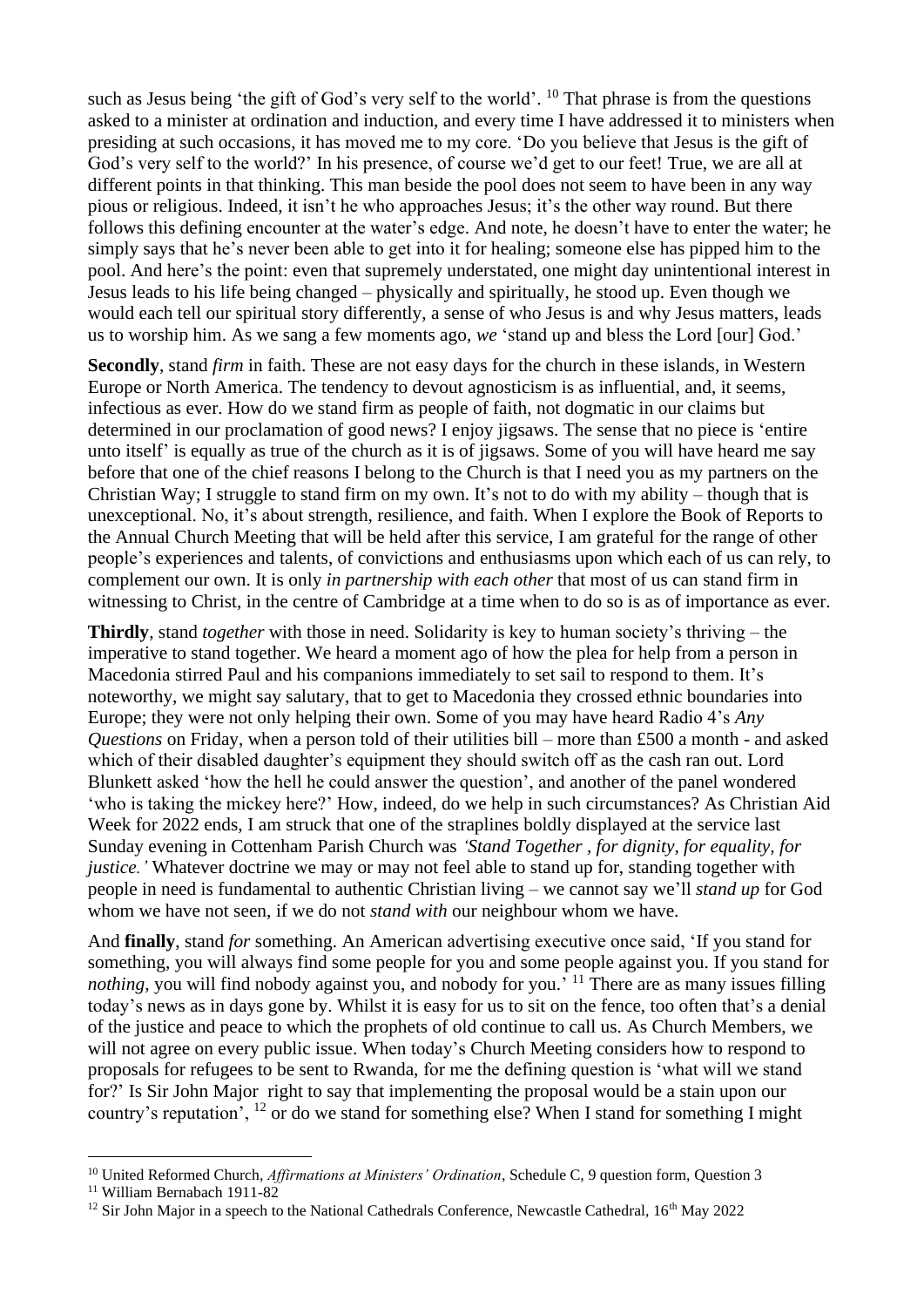such as Jesus being 'the gift of God's very self to the world'. <sup>10</sup> That phrase is from the questions asked to a minister at ordination and induction, and every time I have addressed it to ministers when presiding at such occasions, it has moved me to my core. 'Do you believe that Jesus is the gift of God's very self to the world?' In his presence, of course we'd get to our feet! True, we are all at different points in that thinking. This man beside the pool does not seem to have been in any way pious or religious. Indeed, it isn't he who approaches Jesus; it's the other way round. But there follows this defining encounter at the water's edge. And note, he doesn't have to enter the water; he simply says that he's never been able to get into it for healing; someone else has pipped him to the pool. And here's the point: even that supremely understated, one might day unintentional interest in Jesus leads to his life being changed – physically and spiritually, he stood up. Even though we would each tell our spiritual story differently, a sense of who Jesus is and why Jesus matters, leads us to worship him. As we sang a few moments ago, *we* 'stand up and bless the Lord [our] God.'

**Secondly**, stand *firm* in faith. These are not easy days for the church in these islands, in Western Europe or North America. The tendency to devout agnosticism is as influential, and, it seems, infectious as ever. How do we stand firm as people of faith, not dogmatic in our claims but determined in our proclamation of good news? I enjoy jigsaws. The sense that no piece is 'entire unto itself' is equally as true of the church as it is of jigsaws. Some of you will have heard me say before that one of the chief reasons I belong to the Church is that I need you as my partners on the Christian Way; I struggle to stand firm on my own. It's not to do with my ability – though that is unexceptional. No, it's about strength, resilience, and faith. When I explore the Book of Reports to the Annual Church Meeting that will be held after this service, I am grateful for the range of other people's experiences and talents, of convictions and enthusiasms upon which each of us can rely, to complement our own. It is only *in partnership with each other* that most of us can stand firm in witnessing to Christ, in the centre of Cambridge at a time when to do so is as of importance as ever.

**Thirdly**, stand *together* with those in need. Solidarity is key to human society's thriving – the imperative to stand together. We heard a moment ago of how the plea for help from a person in Macedonia stirred Paul and his companions immediately to set sail to respond to them. It's noteworthy, we might say salutary, that to get to Macedonia they crossed ethnic boundaries into Europe; they were not only helping their own. Some of you may have heard Radio 4's *Any Questions* on Friday, when a person told of their utilities bill – more than £500 a month - and asked which of their disabled daughter's equipment they should switch off as the cash ran out. Lord Blunkett asked 'how the hell he could answer the question', and another of the panel wondered 'who is taking the mickey here?' How, indeed, do we help in such circumstances? As Christian Aid Week for 2022 ends, I am struck that one of the straplines boldly displayed at the service last Sunday evening in Cottenham Parish Church was *'Stand Together , for dignity, for equality, for justice.'* Whatever doctrine we may or may not feel able to stand up for, standing together with people in need is fundamental to authentic Christian living – we cannot say we'll *stand up* for God whom we have not seen, if we do not *stand with* our neighbour whom we have.

And **finally**, stand *for* something. An American advertising executive once said, 'If you stand for something, you will always find some people for you and some people against you. If you stand for nothing, you will find nobody against you, and nobody for you.<sup>' 11</sup> There are as many issues filling today's news as in days gone by. Whilst it is easy for us to sit on the fence, too often that's a denial of the justice and peace to which the prophets of old continue to call us. As Church Members, we will not agree on every public issue. When today's Church Meeting considers how to respond to proposals for refugees to be sent to Rwanda, for me the defining question is 'what will we stand for?' Is Sir John Major right to say that implementing the proposal would be a stain upon our country's reputation', <sup>12</sup> or do we stand for something else? When I stand for something I might

<sup>10</sup> United Reformed Church, *Affirmations at Ministers' Ordination*, Schedule C, 9 question form, Question 3

<sup>&</sup>lt;sup>11</sup> William Bernabach 1911-82

<sup>&</sup>lt;sup>12</sup> Sir John Major in a speech to the National Cathedrals Conference, Newcastle Cathedral,  $16<sup>th</sup>$  May 2022